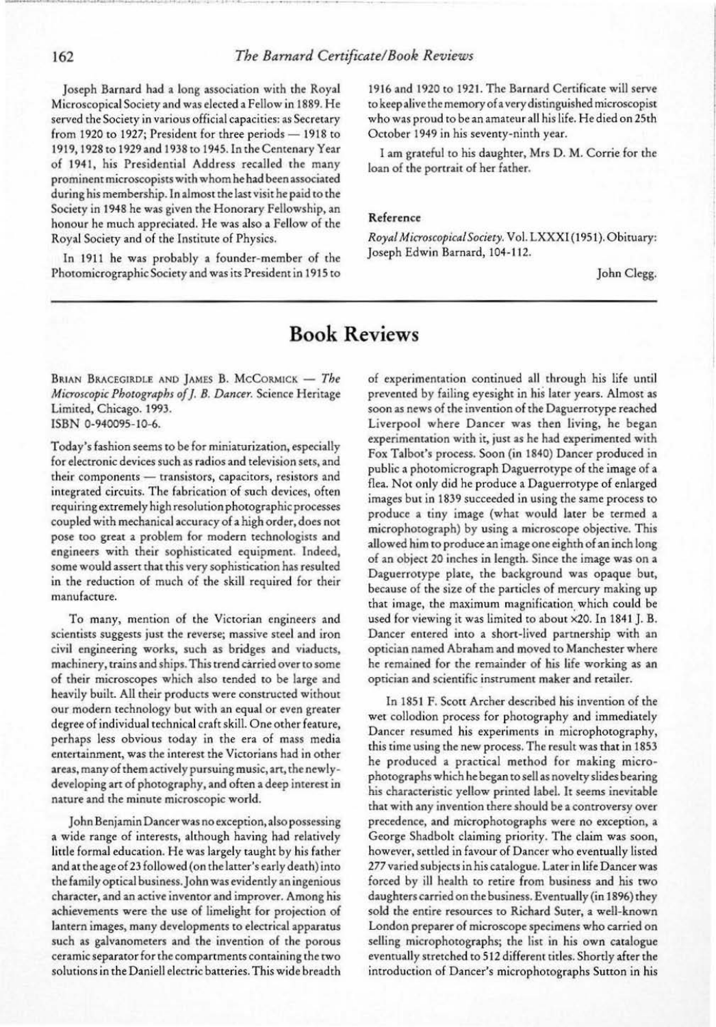··- -~·· ---·-····· • .. **0** \_.

## 162 *The Barnard Certificate! Book Reviews*

joscph Barnard had a long association with the Royal Microscopical Society and was elected a Fellow in 1889. He served the Society in various official capacities: as Secretary from 1920 to 1927; President for three periods  $-$  1918 to 1919, 1928 to 1929 and 1938 to 1945. In the Centenary Year of 1941, his Presidential Address recalled the many prominent microscopists with whom he had been associated during his membership. In almost the last visit he paid to the Society in 1948 he was given the Honorary Fellowship, an honour he much appreciated. He was also a Fellow of the Royal Society and of the Institute of Physics.

In 1911 he was probably a founder-member of the Photomicrographic Society and was its President in 1915 to

BRIAN BRACEGIRDLE AND JAMES B. McCORMICK - The *Microscopic Photographs of* J. *8. Dancer.* Science Heritage Limited, Chicago. 1993. ISBN 0-940095-10-6.

1916 and 1920 to 1921. The Barnard Certificate will serve to keep alive the memory of a very distinguished microscopist who was proud to be an amateur all his life. He died on 25th October 1949 in his seventy-ninth year.

I am grateful to his daughter, Mrs D. M. Corrie for the loan of the portrait of her father.

#### Reference

*Royal M icroscopicalSociety.* Vol. LXXXI ( 1951). Obituary: Joseph Edwin Barnard, 104-112.

John Clegg.

# **Book Reviews**

Today's fashion seems to be for miniaturization, especially for electronic devices such as radios and television sets, and their components - transistors, capacitors, resistors and integrated circuits. The fabrication of such devices, often requiring extremely high resolution photographic processes coupled with mechanical accuracy of a high order, does not pose too great a problem for modem technologists and engineers with their sophisticated equipment. Indeed, some would assert that this very sophistication has resulted in the reduction of much of the skill required for their manufacture.

To many, mention of the Victorian engineers and scientists suggests just the reverse; massive steel and iron civil engineering works, such as bridges and viaducts, machinery, trains and ships. This trend carried over to some of their microscopes which also tended to be large and heavily built. All their products were constructed without our modern technology but with an equal or even greater degree of individual technical craft skill. One other feature, perhaps less obvious today in the era of mass media entertainment, was the interest the Victorians had in other areas, many of them actively pursuing music, art, the newlydeveloping art of photography, and often a deep interest in nature and the minute microscopic world.

John Benjamin Dancer was no exception, also possessing a wide range of interests, although having had relatively litrle formal education. He was largely taught by his father and at rheageof23 followed (on the latter's early death) into the family optical business. John was evidently an ingenious character, and an active inventor and improver. Among his achievements were the use of limelight for projection of lantern images, many developments to electrical apparatus such as galvanometers and the invention of the porous ceramic separator for the compartments containing the two solutions in the Daniell electric batteries. This wide breadth of experimentation continued all through his life until prevented by failing eyesight in his later years. Almost as soon as news of the invention of the Oaguerrotype reached Liverpool where Dancer was then living, he began experimentation with it, just as he had experimented with Fox Talbot's process. Soon (in 1840) Dancer produced in public a photomicrograph Daguerrotype of the image of a flea. Not only did he produce a Daguerrotype of enlarged images but in 1839 succeeded in using the same process to produce a tiny image (what would later be termed a microphotograph) by using a microscope objective. This allowed him to produce an image one eighth of an inch long of an object 20 inches in length. Since the image was on a Daguerrotype plate, the background was opaque but, because of the size of the panicles of mercury making up that image, the maximum magnification which could be used for viewing it was limited to about x20. In 1841 J. B. Dancer entered into a short-lived partnership with an optician named Abraham and moved to Manchester where he remained for the remainder of his life working as an optician and scientific instrument maker and retailer. In 1851 F. Scott Archer described his invention of the wet collodion process for photography and immediately Dancer resumed his experiments in microphotography, this time using the new process. The result was that in 1853 he produced a practical method for making microphotographs which he began to sell as novelty slides bearing his characteristic yellow primed label. It seems inevitable that with any invention there should be a controversy over precedence, and microphotographs were no exception, a George Shadbolt claiming priority. The claim was soon, however, settled in favour of Dancer who eventually listed 277 varied subjects in his catalogue. Later in life Dancer was forced by ill health to retire from business and his two daughters carried on the business. Eventually (in 1896) they sold the entire resources to Richard Surer, a well-known London preparer of microscope specimens who carried on selling microphotographs; the list in his own catalogue eventually stretched to 512 different titles. Shortly after the introduction of Dancer's microphotographs Sutton in his